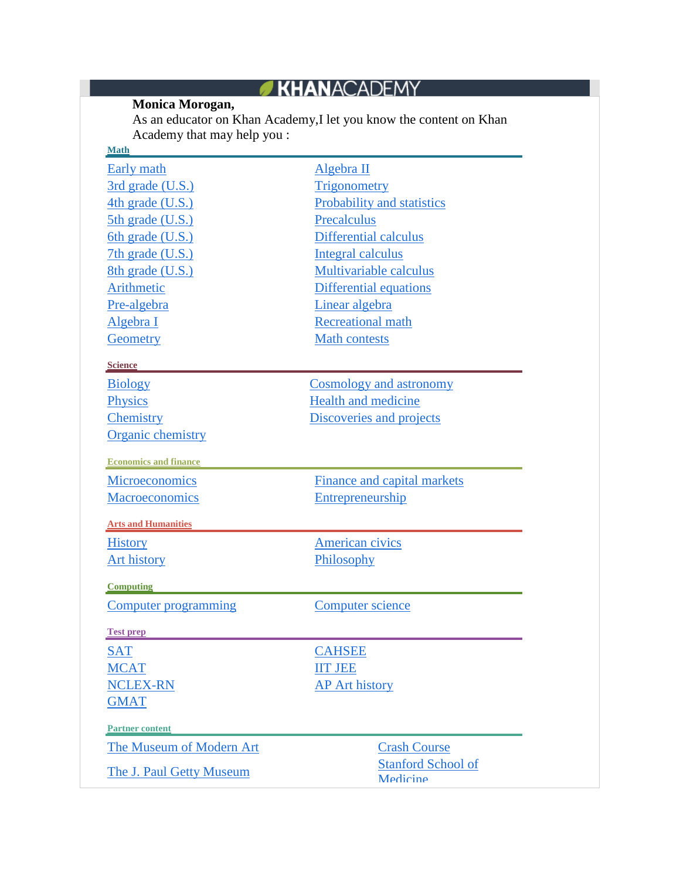## **Monica Morogan,**

As an educator on Khan Academy,I let you know the content on Khan Academy that may help you :

| <b>Math</b>                  |                               |
|------------------------------|-------------------------------|
| <b>Early</b> math            | Algebra II                    |
| 3rd grade (U.S.)             | <b>Trigonometry</b>           |
| 4th grade (U.S.)             | Probability and statistics    |
| 5th grade (U.S.)             | Precalculus                   |
| 6th grade (U.S.)             | <b>Differential calculus</b>  |
| 7th grade (U.S.)             | <b>Integral calculus</b>      |
| 8th grade (U.S.)             | Multivariable calculus        |
| Arithmetic                   | <b>Differential equations</b> |
| Pre-algebra                  | Linear algebra                |
| Algebra I                    | <b>Recreational math</b>      |
| Geometry                     | <b>Math contests</b>          |
| <b>Science</b>               |                               |
| <b>Biology</b>               | Cosmology and astronomy       |
| <b>Physics</b>               | <b>Health and medicine</b>    |
| Chemistry                    | Discoveries and projects      |
| <b>Organic chemistry</b>     |                               |
| <b>Economics and finance</b> |                               |
| <b>Microeconomics</b>        | Finance and capital markets   |
| <b>Macroeconomics</b>        | Entrepreneurship              |
| <b>Arts and Humanities</b>   |                               |
| <b>History</b>               | <b>American civics</b>        |
| <b>Art history</b>           | Philosophy                    |
| <b>Computing</b>             |                               |
| Computer programming         | <b>Computer science</b>       |
| <b>Test prep</b>             |                               |
| <b>SAT</b>                   | <b>CAHSEE</b>                 |
| <b>MCAT</b>                  | <b>IIT JEE</b>                |
| <b>NCLEX-RN</b>              | <b>AP Art history</b>         |
| <b>GMAT</b>                  |                               |
| <b>Partner content</b>       |                               |
| The Museum of Modern Art     | <b>Crash Course</b>           |
| The J. Paul Getty Museum     | <b>Stanford School of</b>     |
|                              | Medicine                      |